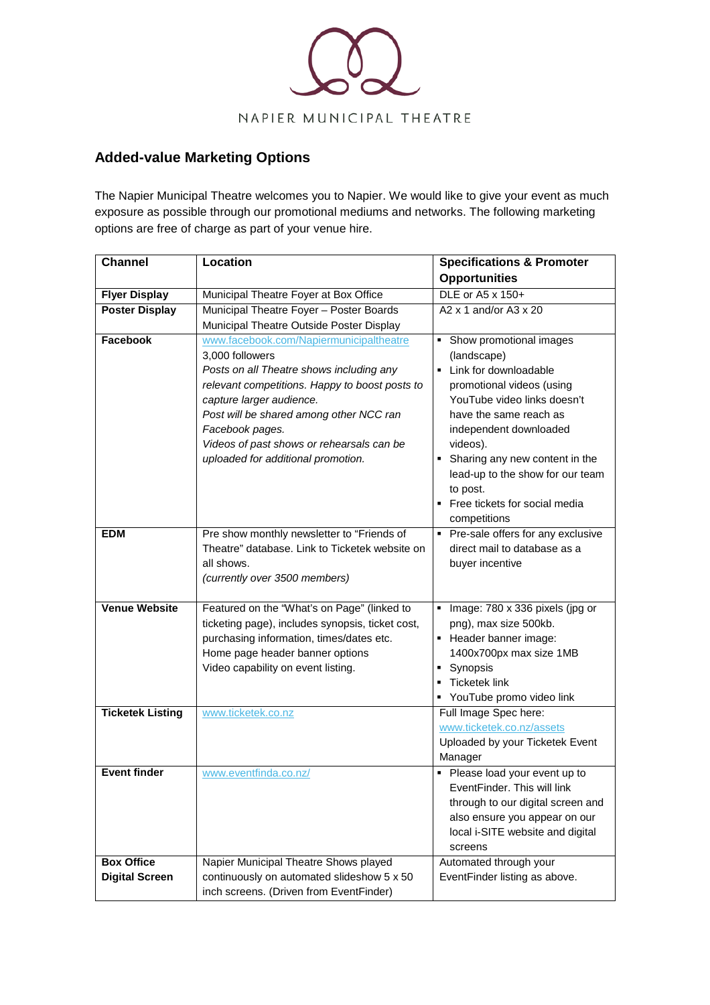

## **Added-value Marketing Options**

The Napier Municipal Theatre welcomes you to Napier. We would like to give your event as much exposure as possible through our promotional mediums and networks. The following marketing options are free of charge as part of your venue hire.

| <b>Channel</b>                             | <b>Location</b>                                                                                                                                                                                                                                                                                                                       | <b>Specifications &amp; Promoter</b>                                                                                                                                                                                                                                              |
|--------------------------------------------|---------------------------------------------------------------------------------------------------------------------------------------------------------------------------------------------------------------------------------------------------------------------------------------------------------------------------------------|-----------------------------------------------------------------------------------------------------------------------------------------------------------------------------------------------------------------------------------------------------------------------------------|
|                                            |                                                                                                                                                                                                                                                                                                                                       | <b>Opportunities</b>                                                                                                                                                                                                                                                              |
| <b>Flyer Display</b>                       | Municipal Theatre Foyer at Box Office                                                                                                                                                                                                                                                                                                 | DLE or A5 x 150+                                                                                                                                                                                                                                                                  |
| <b>Poster Display</b>                      | Municipal Theatre Foyer - Poster Boards                                                                                                                                                                                                                                                                                               | A2 x 1 and/or A3 x 20                                                                                                                                                                                                                                                             |
|                                            | Municipal Theatre Outside Poster Display                                                                                                                                                                                                                                                                                              |                                                                                                                                                                                                                                                                                   |
| <b>Facebook</b>                            | www.facebook.com/Napiermunicipaltheatre<br>3,000 followers<br>Posts on all Theatre shows including any<br>relevant competitions. Happy to boost posts to<br>capture larger audience.<br>Post will be shared among other NCC ran<br>Facebook pages.<br>Videos of past shows or rehearsals can be<br>uploaded for additional promotion. | • Show promotional images<br>(landscape)<br>• Link for downloadable<br>promotional videos (using<br>YouTube video links doesn't<br>have the same reach as<br>independent downloaded<br>videos).<br>Sharing any new content in the<br>lead-up to the show for our team<br>to post. |
|                                            |                                                                                                                                                                                                                                                                                                                                       | Free tickets for social media<br>٠<br>competitions                                                                                                                                                                                                                                |
| <b>EDM</b>                                 | Pre show monthly newsletter to "Friends of<br>Theatre" database. Link to Ticketek website on<br>all shows.<br>(currently over 3500 members)                                                                                                                                                                                           | Pre-sale offers for any exclusive<br>٠<br>direct mail to database as a<br>buyer incentive                                                                                                                                                                                         |
| <b>Venue Website</b>                       | Featured on the "What's on Page" (linked to<br>ticketing page), includes synopsis, ticket cost,<br>purchasing information, times/dates etc.<br>Home page header banner options<br>Video capability on event listing.                                                                                                                  | Image: 780 x 336 pixels (jpg or<br>png), max size 500kb.<br>• Header banner image:<br>1400x700px max size 1MB<br>• Synopsis<br>Ticketek link<br>$\blacksquare$<br>• YouTube promo video link                                                                                      |
| <b>Ticketek Listing</b>                    | www.ticketek.co.nz                                                                                                                                                                                                                                                                                                                    | Full Image Spec here:<br>www.ticketek.co.nz/assets<br>Uploaded by your Ticketek Event<br>Manager                                                                                                                                                                                  |
| <b>Event finder</b>                        | www.eventfinda.co.nz/                                                                                                                                                                                                                                                                                                                 | • Please load your event up to<br>EventFinder. This will link<br>through to our digital screen and<br>also ensure you appear on our<br>local i-SITE website and digital<br>screens                                                                                                |
| <b>Box Office</b><br><b>Digital Screen</b> | Napier Municipal Theatre Shows played<br>continuously on automated slideshow 5 x 50<br>inch screens. (Driven from EventFinder)                                                                                                                                                                                                        | Automated through your<br>EventFinder listing as above.                                                                                                                                                                                                                           |